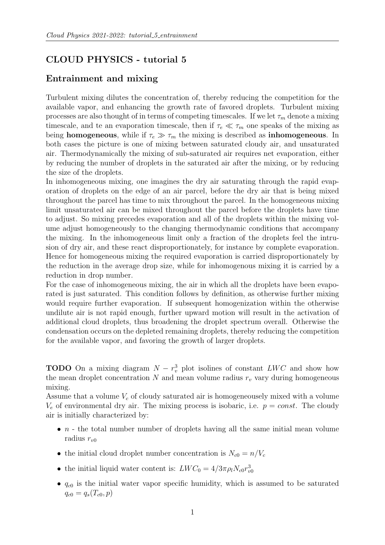## CLOUD PHYSICS - tutorial 5

## Entrainment and mixing

Turbulent mixing dilutes the concentration of, thereby reducing the competition for the available vapor, and enhancing the growth rate of favored droplets. Turbulent mixing processes are also thought of in terms of competing timescales. If we let  $\tau_m$  denote a mixing timescale, and te an evaporation timescale, then if  $\tau_e \ll \tau_m$  one speaks of the mixing as being homogeneous, while if  $\tau_e \gg \tau_m$  the mixing is described as inhomogeneous. In both cases the picture is one of mixing between saturated cloudy air, and unsaturated air. Thermodynamically the mixing of sub-saturated air requires net evaporation, either by reducing the number of droplets in the saturated air after the mixing, or by reducing the size of the droplets.

In inhomogeneous mixing, one imagines the dry air saturating through the rapid evaporation of droplets on the edge of an air parcel, before the dry air that is being mixed throughout the parcel has time to mix throughout the parcel. In the homogeneous mixing limit unsaturated air can be mixed throughout the parcel before the droplets have time to adjust. So mixing precedes evaporation and all of the droplets within the mixing volume adjust homogeneously to the changing thermodynamic conditions that accompany the mixing. In the inhomogeneous limit only a fraction of the droplets feel the intrusion of dry air, and these react disproportionately, for instance by complete evaporation. Hence for homogeneous mixing the required evaporation is carried disproportionately by the reduction in the average drop size, while for inhomogenous mixing it is carried by a reduction in drop number.

For the case of inhomogeneous mixing, the air in which all the droplets have been evaporated is just saturated. This condition follows by definition, as otherwise further mixing would require further evaporation. If subsequent homogenization within the otherwise undilute air is not rapid enough, further upward motion will result in the activation of additional cloud droplets, thus broadening the droplet spectrum overall. Otherwise the condensation occurs on the depleted remaining droplets, thereby reducing the competition for the available vapor, and favoring the growth of larger droplets.

**TODO** On a mixing diagram  $N - r_v^3$  plot isolines of constant LWC and show how the mean droplet concentration  $N$  and mean volume radius  $r_v$  vary during homogeneous mixing.

Assume that a volume  $V_c$  of cloudy saturated air is homogeneousely mixed with a volume  $V_e$  of environmental dry air. The mixing process is isobaric, i.e.  $p = const$ . The cloudy air is initially characterized by:

- $n$  the total number number of droplets having all the same initial mean volume radius  $r_{v0}$
- the initial cloud droplet number concentration is  $N_{c0} = n/V_c$
- the initial liquid water content is:  $LWC_0 = 4/3\pi \rho_l N_{c0} r_{v0}^3$
- $q_{c0}$  is the initial water vapor specific humidity, which is assumed to be saturated  $q_{c0} = q_s(T_{c0}, p)$